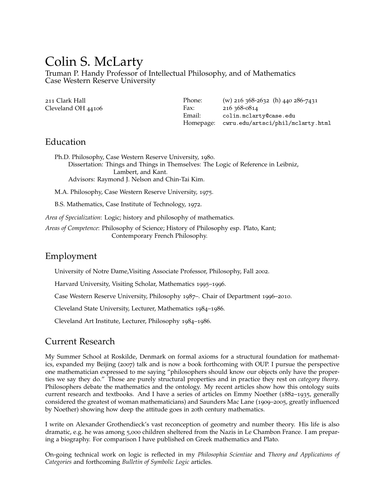# Colin S. McLarty

Truman P. Handy Professor of Intellectual Philosophy, and of Mathematics Case Western Reserve University

| 211 Clark Hall     | Phone:    | (w) 216 368-2632 (h) 440 286-7431 |
|--------------------|-----------|-----------------------------------|
| Cleveland OH 44106 | Fax:      | 216 368-0814                      |
|                    | Email:    | colin.mclarty@case.edu            |
|                    | Homepage: | cwru.edu/artsci/phil/mclarty.html |

## Education

Ph.D. Philosophy, Case Western Reserve University, 1980. Dissertation: Things and Things in Themselves: The Logic of Reference in Leibniz, Lambert, and Kant. Advisors: Raymond J. Nelson and Chin-Tai Kim.

M.A. Philosophy, Case Western Reserve University, 1975.

B.S. Mathematics, Case Institute of Technology, 1972.

*Area of Specialization*: Logic; history and philosophy of mathematics.

*Areas of Competence*: Philosophy of Science; History of Philosophy esp. Plato, Kant; Contemporary French Philosophy.

# Employment

University of Notre Dame,Visiting Associate Professor, Philosophy, Fall 2002.

Harvard University, Visiting Scholar, Mathematics 1995–1996.

Case Western Reserve University, Philosophy 1987–. Chair of Department 1996–2010.

Cleveland State University, Lecturer, Mathematics 1984–1986.

Cleveland Art Institute, Lecturer, Philosophy 1984–1986.

# Current Research

My Summer School at Roskilde, Denmark on formal axioms for a structural foundation for mathematics, expanded my Beijing (2007) talk and is now a book forthcoming with OUP. I pursue the perspective one mathematician expressed to me saying "philosophers should know our objects only have the properties we say they do." Those are purely structural properties and in practice they rest on *category theory*. Philosophers debate the mathematics and the ontology. My recent articles show how this ontology suits current research and textbooks. And I have a series of articles on Emmy Noether (1882–1935, generally considered the greatest of woman mathematicians) and Saunders Mac Lane (1909–2005, greatly influenced by Noether) showing how deep the attitude goes in 20th century mathematics.

I write on Alexander Grothendieck's vast reconception of geometry and number theory. His life is also dramatic, e.g. he was among 5,000 children sheltered from the Nazis in Le Chambon France. I am preparing a biography. For comparison I have published on Greek mathematics and Plato.

On-going technical work on logic is reflected in my *Philosophia Scientiae* and *Theory and Applications of Categories* and forthcoming *Bulletin of Symbolic Logic* articles.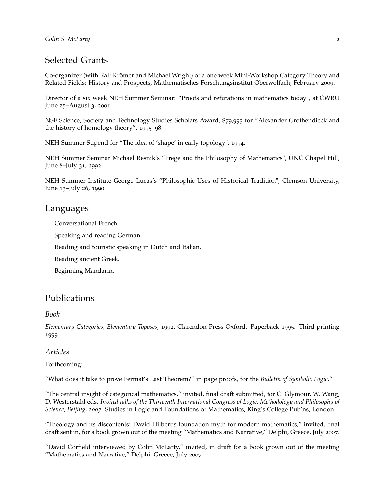# Selected Grants

Co-organizer (with Ralf Krömer and Michael Wright) of a one week Mini-Workshop Category Theory and Related Fields: History and Prospects, Mathematisches Forschungsinstitut Oberwolfach, February 2009.

Director of a six week NEH Summer Seminar: "Proofs and refutations in mathematics today", at CWRU June 25–August 3, 2001.

NSF Science, Society and Technology Studies Scholars Award, \$79,993 for "Alexander Grothendieck and the history of homology theory", 1995–98.

NEH Summer Stipend for "The idea of 'shape' in early topology", 1994.

NEH Summer Seminar Michael Resnik's "Frege and the Philosophy of Mathematics", UNC Chapel Hill, June 8–July 31, 1992.

NEH Summer Institute George Lucas's "Philosophic Uses of Historical Tradition", Clemson University, June 13–July 26, 1990.

#### Languages

Conversational French.

Speaking and reading German.

Reading and touristic speaking in Dutch and Italian.

Reading ancient Greek.

Beginning Mandarin.

# Publications

#### *Book*

*Elementary Categories, Elementary Toposes*, 1992, Clarendon Press Oxford. Paperback 1995. Third printing 1999.

#### *Articles*

#### Forthcoming:

"What does it take to prove Fermat's Last Theorem?" in page proofs, for the *Bulletin of Symbolic Logic*."

"The central insight of categorical mathematics," invited, final draft submitted, for C. Glymour, W. Wang, D. Westerstahl eds. *Invited talks of the Thirteenth International Congress of Logic, Methodology and Philosophy of Science, Beijing, 2007*. Studies in Logic and Foundations of Mathematics, King's College Pub'ns, London.

"Theology and its discontents: David Hilbert's foundation myth for modern mathematics," invited, final draft sent in, for a book grown out of the meeting "Mathematics and Narrative," Delphi, Greece, July 2007.

"David Corfield interviewed by Colin McLarty," invited, in draft for a book grown out of the meeting "Mathematics and Narrative," Delphi, Greece, July 2007.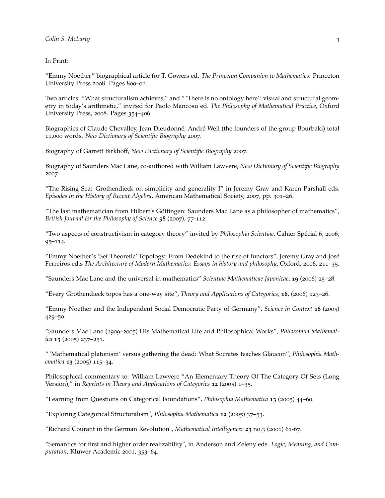In Print:

"Emmy Noether" biographical article for T. Gowers ed. *The Princeton Companion to Mathematics*. Princeton University Press 2008. Pages 800–01.

Two articles: "What structuralism achieves," and " 'There is no ontology here': visual and structural geometry in today's arithmetic," invited for Paolo Mancosu ed. *The Philosophy of Mathematical Practice*, Oxford University Press, 2008. Pages 354–406.

Biographies of Claude Chevalley, Jean Dieudonné, André Weil (the founders of the group Bourbaki) total 11,000 words. *New Dictionary of Scientific Biography* 2007.

Biography of Garrett Birkhoff, *New Dictionary of Scientific Biography* 2007.

Biography of Saunders Mac Lane, co-authored with William Lawvere, *New Dictionary of Scientific Biography* 2007.

"The Rising Sea: Grothendieck on simplicity and generality I" in Jeremy Gray and Karen Parshall eds. *Episodes in the History of Recent Algebra*, American Mathematical Society, 2007, pp. 301–26.

"The last mathematician from Hilbert's Göttingen: Saunders Mac Lane as a philosopher of mathematics", *British Journal for the Philosophy of Science* **58** (2007), 77-112.

"Two aspects of constructivism in category theory" invited by *Philosophia Scientiae*, Cahier Spécial 6, 2006, 95–114.

"Emmy Noether's 'Set Theoretic' Topology: From Dedekind to the rise of functors", Jeremy Gray and José Ferreirós ed.s *The Architecture of Modern Mathematics: Essays in history and philosophy*, Oxford, 2006, 211–35.

"Saunders Mac Lane and the universal in mathematics" *Scientiae Mathematicae Japonicae*, **19** (2006) 25–28.

"Every Grothendieck topos has a one-way site", *Theory and Applications of Categories*, **16**, (2006) 123–26.

"Emmy Noether and the Independent Social Democratic Party of Germany", *Science in Context* **18** (2005) 429–50.

"Saunders Mac Lane (1909–2005) His Mathematical Life and Philosophical Works", *Philosophia Mathematica* **13** (2005) 237–251.

" 'Mathematical platonism' versus gathering the dead: What Socrates teaches Glaucon", *Philosophia Mathematica* **13** (2005) 115–34.

Philosophical commentary to: William Lawvere "An Elementary Theory Of The Category Of Sets (Long Version)," in *Reprints in Theory and Applications of Categories* **12** (2005) 1–35.

"Learning from Questions on Categorical Foundations", *Philosophia Mathematica* **13** (2005) 44–60.

"Exploring Categorical Structuralism", *Philosophia Mathematica* **12** (2005) 37–53.

"Richard Courant in the German Revolution", *Mathematical Intelligencer* **23** no.3 (2001) 61-67.

"Semantics for first and higher order realizability", in Anderson and Zeleny eds. *Logic, Meaning, and Computation*, Kluwer Academic 2001, 353–64.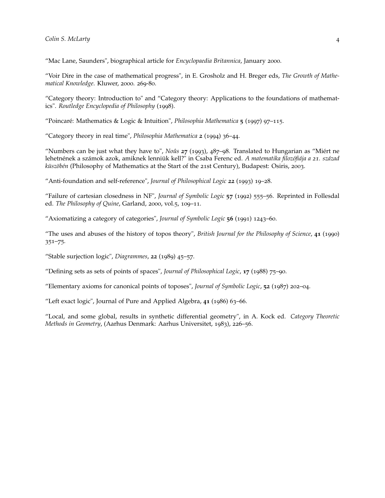"Mac Lane, Saunders", biographical article for *Encyclopaedia Britannica*, January 2000.

"Voir Dire in the case of mathematical progress", in E. Grosholz and H. Breger eds, *The Growth of Mathematical Knowledge*. Kluwer, 2000. 269-80.

"Category theory: Introduction to" and "Category theory: Applications to the foundations of mathematics". *Routledge Encyclopedia of Philosophy* (1998).

"Poincaré: Mathematics & Logic & Intuition", *Philosophia Mathematica* **5** (1997) 97–115.

"Category theory in real time", *Philosophia Mathematica* **2** (1994) 36–44.

"Numbers can be just what they have to", *Noûs* **27** (1993), 487–98. Translated to Hungarian as "Miért ne lehetnének a számok azok, amiknek lenniük kell?" in Csaba Ferenc ed. *A matematika filozófiája a 21. század küszöbén* (Philosophy of Mathematics at the Start of the 21st Century), Budapest: Osiris, 2003.

"Anti-foundation and self-reference", *Journal of Philosophical Logic* **22** (1993) 19–28.

"Failure of cartesian closedness in NF", *Journal of Symbolic Logic* **57** (1992) 555–56. Reprinted in Follesdal ed. *The Philosophy of Quine*, Garland, 2000, vol.5, 109–11.

"Axiomatizing a category of categories", *Journal of Symbolic Logic* **56** (1991) 1243–60.

"The uses and abuses of the history of topos theory", *British Journal for the Philosophy of Science*, **41** (1990) 351–75.

"Stable surjection logic", *Diagrammes*, **22** (1989) 45–57.

"Defining sets as sets of points of spaces", *Journal of Philosophical Logic*, **17** (1988) 75–90.

"Elementary axioms for canonical points of toposes", *Journal of Symbolic Logic*, **52** (1987) 202–04.

"Left exact logic", Journal of Pure and Applied Algebra, **41** (1986) 63–66.

"Local, and some global, results in synthetic differential geometry", in A. Kock ed. *Category Theoretic Methods in Geometry*, (Aarhus Denmark: Aarhus Universitet, 1983), 226–56.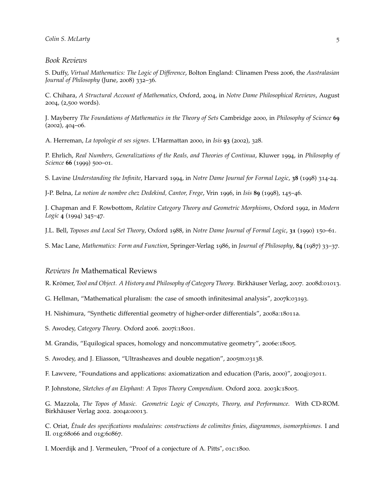#### *Book Reviews*

S. Duffy, *Virtual Mathematics: The Logic of Difference*, Bolton England: Clinamen Press 2006, the *Australasian Journal of Philosophy* (June, 2008) 332–36.

C. Chihara, *A Structural Account of Mathematics*, Oxford, 2004, in *Notre Dame Philosophical Reviews*, August 2004, (2,500 words).

J. Mayberry *The Foundations of Mathematics in the Theory of Sets* Cambridge 2000, in *Philosophy of Science* **69** (2002), 404–06.

A. Herreman, *La topologie et ses signes*. L'Harmattan 2000, in *Isis* **93** (2002), 328.

P. Ehrlich, *Real Numbers, Generalizations of the Reals, and Theories of Continua*, Kluwer 1994, in *Philosophy of Science* **66** (1999) 500–01.

S. Lavine *Understanding the Infinite*, Harvard 1994, in *Notre Dame Journal for Formal Logic*, **38** (1998) 314-24.

J-P. Belna, *La notion de nombre chez Dedekind, Cantor, Frege*, Vrin 1996, in *Isis* **89** (1998), 145–46.

J. Chapman and F. Rowbottom, *Relative Category Theory and Geometric Morphisms*, Oxford 1992, in *Modern Logic* **4** (1994) 345–47.

J.L. Bell, *Toposes and Local Set Theory*, Oxford 1988, in *Notre Dame Journal of Formal Logic*, **31** (1990) 150–61.

S. Mac Lane, *Mathematics: Form and Function*, Springer-Verlag 1986, in *Journal of Philosophy*, **84** (1987) 33–37.

#### *Reviews In* Mathematical Reviews

R. Krömer, *Tool and Object. A History and Philosophy of Category Theory*. Birkhäuser Verlag, 2007. 2008d:01013.

G. Hellman, "Mathematical pluralism: the case of smooth infinitesimal analysis", 2007k:03193.

H. Nishimura, "Synthetic differential geometry of higher-order differentials", 2008a:18011a.

S. Awodey, *Category Theory*. Oxford 2006. 2007i:18001.

M. Grandis, "Equilogical spaces, homology and noncommutative geometry", 2006e:18005.

S. Awodey, and J. Eliasson, "Ultrasheaves and double negation", 2005m:03138.

F. Lawvere, "Foundations and applications: axiomatization and education (Paris, 2000)", 2004j:03011.

P. Johnstone, *Sketches of an Elephant: A Topos Theory Compendium*. Oxford 2002. 2003k:18005.

G. Mazzola, *The Topos of Music. Geometric Logic of Concepts, Theory, and Performance*. With CD-ROM. Birkhäuser Verlag 2002. 2004a:00013.

C. Oriat, *Étude des specifications modulaires: constructions de colimites finies, diagrammes, isomorphismes.* I and II. 01g:68066 and 01g:60867.

I. Moerdijk and J. Vermeulen, "Proof of a conjecture of A. Pitts", 01c:1800.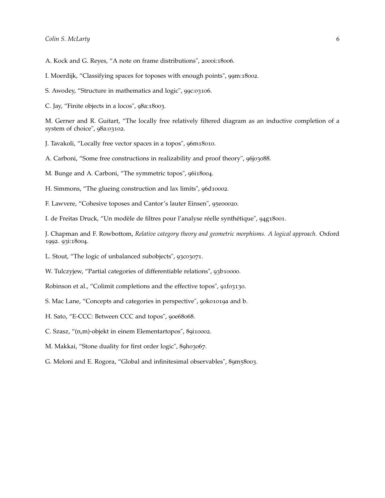- A. Kock and G. Reyes, "A note on frame distributions", 2000i:18006.
- I. Moerdijk, "Classifying spaces for toposes with enough points", 99m:18002.
- S. Awodey, "Structure in mathematics and logic", 99c:03106.
- C. Jay, "Finite objects in a locos", 98a:18003.

M. Gerner and R. Guitart, "The locally free relatively filtered diagram as an inductive completion of a system of choice", 98a:03102.

- J. Tavakoli, "Locally free vector spaces in a topos", 96m18010.
- A. Carboni, "Some free constructions in realizability and proof theory", 96j03088.
- M. Bunge and A. Carboni, "The symmetric topos", 96i18004.
- H. Simmons, "The glueing construction and lax limits", 96d10002.
- F. Lawvere, "Cohesive toposes and Cantor's lauter Einsen", 95e00020.

I. de Freitas Druck, "Un modèle de filtres pour l'analyse réelle synthétique", 94g18001.

J. Chapman and F. Rowbottom, *Relative category theory and geometric morphisms. A logical approach*. Oxford 1992. 93i:18004.

L. Stout, "The logic of unbalanced subobjects", 93c03071.

W. Tulczyjew, "Partial categories of differentiable relations", 93b10000.

Robinson et al., "Colimit completions and the effective topos", 91f03130.

- S. Mac Lane, "Concepts and categories in perspective", 90k01019a and b.
- H. Sato, "E-CCC: Between CCC and topos", 90e68068.
- C. Szasz, "(n,m)-objekt in einem Elementartopos", 89i10002.
- M. Makkai, "Stone duality for first order logic", 89h03067.
- G. Meloni and E. Rogora, "Global and infinitesimal observables", 89m58003.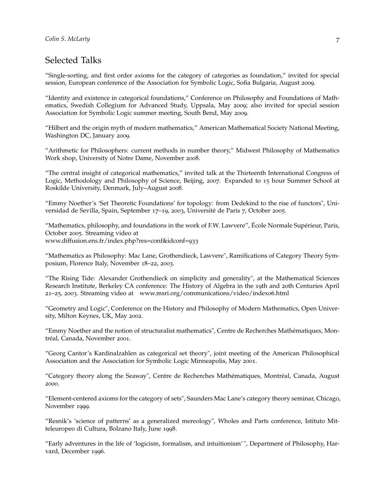# Selected Talks

"Single-sorting, and first order axioms for the category of categories as foundation," invited for special session, European conference of the Association for Symbolic Logic, Sofia Bulgaria, August 2009.

"Identity and existence in categorical foundations," Conference on Philosophy and Foundations of Mathematics, Swedish Collegium for Advanced Study, Uppsala, May 2009; also invited for special session Association for Symbolic Logic summer meeting, South Bend, May 2009.

"Hilbert and the origin myth of modern mathematics," American Mathematical Society National Meeting, Washington DC, January 2009.

"Arithmetic for Philosophers: current methods in number theory," Midwest Philosophy of Mathematics Work shop, University of Notre Dame, November 2008.

"The central insight of categorical mathematics," invited talk at the Thirteenth International Congress of Logic, Methodology and Philosophy of Science, Beijing, 2007. Expanded to 15 hour Summer School at Roskilde University, Denmark, July–August 2008.

"Emmy Noether's 'Set Theoretic Foundations' for topology: from Dedekind to the rise of functors", Universidad de Sevilla, Spain, September 17–19, 2003, Université de Paris 7, October 2005.

"Mathematics, philosophy, and foundations in the work of F.W. Lawvere", École Normale Supérieur, Paris, October 2005. Streaming video at www.diffusion.ens.fr/index.php?res=conf&idconf=933

"Mathematics as Philosophy: Mac Lane, Grothendieck, Lawvere", Ramifications of Category Theory Symposium, Florence Italy, November 18–22, 2003.

"The Rising Tide: Alexander Grothendieck on simplicity and generality", at the Mathematical Sciences Research Institute, Berkeley CA conference: The History of Algebra in the 19th and 20th Centuries April 21–25, 2003. Streaming video at www.msri.org/communications/video/index06.html

"Geometry and Logic", Conference on the History and Philosophy of Modern Mathematics, Open University, Milton Keynes, UK, May 2002.

"Emmy Noether and the notion of structuralist mathematics", Centre de Recherches Mathématiques, Montréal, Canada, November 2001.

"Georg Cantor's Kardinalzahlen as categorical set theory", joint meeting of the American Philosophical Association and the Association for Symbolic Logic Minneapolis, May 2001.

"Category theory along the Seaway", Centre de Recherches Mathématiques, Montréal, Canada, August 2000.

"Element-centered axioms for the category of sets", Saunders Mac Lane's category theory seminar, Chicago, November 1999.

"Resnik's 'science of patterns' as a generalized mereology", Wholes and Parts conference, Istituto Mitteleuropeo di Cultura, Bolzano Italy, June 1998.

"Early adventures in the life of 'logicism, formalism, and intuitionism' ", Department of Philosophy, Harvard, December 1996.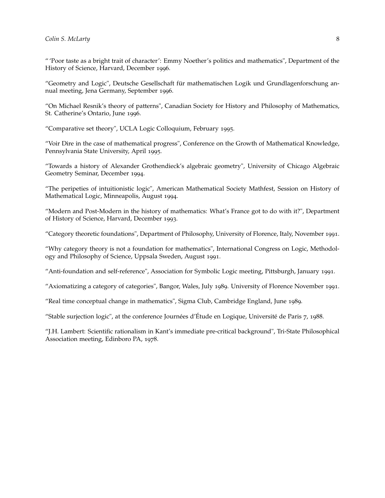" 'Poor taste as a bright trait of character': Emmy Noether's politics and mathematics", Department of the History of Science, Harvard, December 1996.

"Geometry and Logic", Deutsche Gesellschaft für mathematischen Logik und Grundlagenforschung annual meeting, Jena Germany, September 1996.

"On Michael Resnik's theory of patterns", Canadian Society for History and Philosophy of Mathematics, St. Catherine's Ontario, June 1996.

"Comparative set theory", UCLA Logic Colloquium, February 1995.

"Voir Dire in the case of mathematical progress", Conference on the Growth of Mathematical Knowledge, Pennsylvania State University, April 1995.

"Towards a history of Alexander Grothendieck's algebraic geometry", University of Chicago Algebraic Geometry Seminar, December 1994.

"The peripeties of intuitionistic logic", American Mathematical Society Mathfest, Session on History of Mathematical Logic, Minneapolis, August 1994.

"Modern and Post-Modern in the history of mathematics: What's France got to do with it?", Department of History of Science, Harvard, December 1993.

"Category theoretic foundations", Department of Philosophy, University of Florence, Italy, November 1991.

"Why category theory is not a foundation for mathematics", International Congress on Logic, Methodology and Philosophy of Science, Uppsala Sweden, August 1991.

"Anti-foundation and self-reference", Association for Symbolic Logic meeting, Pittsburgh, January 1991.

"Axiomatizing a category of categories", Bangor, Wales, July 1989. University of Florence November 1991.

"Real time conceptual change in mathematics", Sigma Club, Cambridge England, June 1989.

"Stable surjection logic", at the conference Journées d'Étude en Logique, Université de Paris 7, 1988.

"J.H. Lambert: Scientific rationalism in Kant's immediate pre-critical background", Tri-State Philosophical Association meeting, Edinboro PA, 1978.